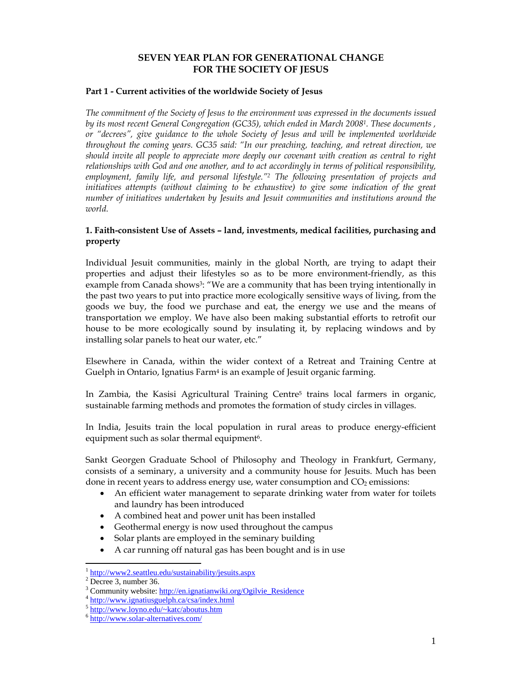# **SEVEN YEAR PLAN FOR GENERATIONAL CHANGE FOR THE SOCIETY OF JESUS**

### **Part 1 - Current activities of the worldwide Society of Jesus**

*The commitment of the Society of Jesus to the environment was expressed in the documents issued by its most recent General Congregation (GC35), which ended in March 20081. These documents , or "decrees", give guidance to the whole Society of Jesus and will be implemented worldwide throughout the coming years. GC35 said: "In our preaching, teaching, and retreat direction, we should invite all people to appreciate more deeply our covenant with creation as central to right relationships with God and one another, and to act accordingly in terms of political responsibility, employment, family life, and personal lifestyle."2 The following presentation of projects and initiatives attempts (without claiming to be exhaustive) to give some indication of the great number of initiatives undertaken by Jesuits and Jesuit communities and institutions around the world.* 

## **1. Faith-consistent Use of Assets – land, investments, medical facilities, purchasing and property**

Individual Jesuit communities, mainly in the global North, are trying to adapt their properties and adjust their lifestyles so as to be more environment-friendly, as this example from Canada shows<sup>3</sup>: "We are a community that has been trying intentionally in the past two years to put into practice more ecologically sensitive ways of living, from the goods we buy, the food we purchase and eat, the energy we use and the means of transportation we employ. We have also been making substantial efforts to retrofit our house to be more ecologically sound by insulating it, by replacing windows and by installing solar panels to heat our water, etc."

Elsewhere in Canada, within the wider context of a Retreat and Training Centre at Guelph in Ontario, Ignatius Farm<sup>4</sup> is an example of Jesuit organic farming.

In Zambia, the Kasisi Agricultural Training Centre5 trains local farmers in organic, sustainable farming methods and promotes the formation of study circles in villages.

In India, Jesuits train the local population in rural areas to produce energy-efficient equipment such as solar thermal equipment<sup>6</sup>.

Sankt Georgen Graduate School of Philosophy and Theology in Frankfurt, Germany, consists of a seminary, a university and a community house for Jesuits. Much has been done in recent years to address energy use, water consumption and CO<sub>2</sub> emissions:

- An efficient water management to separate drinking water from water for toilets and laundry has been introduced
- A combined heat and power unit has been installed
- Geothermal energy is now used throughout the campus
- Solar plants are employed in the seminary building
- A car running off natural gas has been bought and is in use

l

<sup>&</sup>lt;sup>1</sup> http://www2.seattleu.edu/sustainability/jesuits.aspx

 $2^2$  Decree 3, number 36.

<sup>&</sup>lt;sup>3</sup> Community website: <u>http://en.ignatianwiki.org/Ogilvie\_Residence</u> 4 http://www.ignatiusguelph.ca/csa/index.html

<sup>5</sup> http://www.loyno.edu/~katc/aboutus.htm

<sup>6</sup> http://www.solar-alternatives.com/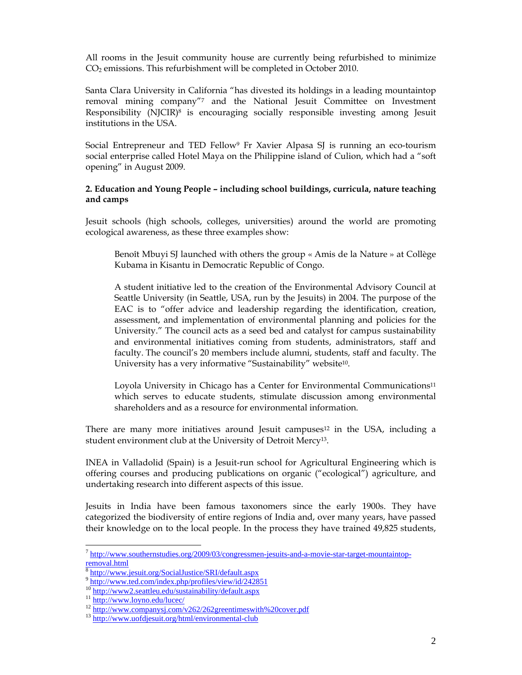All rooms in the Jesuit community house are currently being refurbished to minimize CO2 emissions. This refurbishment will be completed in October 2010.

Santa Clara University in California "has divested its holdings in a leading mountaintop removal mining company"7 and the National Jesuit Committee on Investment Responsibility (NJCIR)8 is encouraging socially responsible investing among Jesuit institutions in the USA.

Social Entrepreneur and TED Fellow9 Fr Xavier Alpasa SJ is running an eco-tourism social enterprise called Hotel Maya on the Philippine island of Culion, which had a "soft opening" in August 2009.

### **2. Education and Young People – including school buildings, curricula, nature teaching and camps**

Jesuit schools (high schools, colleges, universities) around the world are promoting ecological awareness, as these three examples show:

Benoît Mbuyi SJ launched with others the group « Amis de la Nature » at Collège Kubama in Kisantu in Democratic Republic of Congo.

A student initiative led to the creation of the Environmental Advisory Council at Seattle University (in Seattle, USA, run by the Jesuits) in 2004. The purpose of the EAC is to "offer advice and leadership regarding the identification, creation, assessment, and implementation of environmental planning and policies for the University." The council acts as a seed bed and catalyst for campus sustainability and environmental initiatives coming from students, administrators, staff and faculty. The council's 20 members include alumni, students, staff and faculty. The University has a very informative "Sustainability" website10.

Loyola University in Chicago has a Center for Environmental Communications<sup>11</sup> which serves to educate students, stimulate discussion among environmental shareholders and as a resource for environmental information.

There are many more initiatives around Jesuit campuses $12$  in the USA, including a student environment club at the University of Detroit Mercy13.

INEA in Valladolid (Spain) is a Jesuit-run school for Agricultural Engineering which is offering courses and producing publications on organic ("ecological") agriculture, and undertaking research into different aspects of this issue.

Jesuits in India have been famous taxonomers since the early 1900s. They have categorized the biodiversity of entire regions of India and, over many years, have passed their knowledge on to the local people. In the process they have trained 49,825 students,

 $\overline{a}$ 

<sup>&</sup>lt;sup>7</sup> http://www.southernstudies.org/2009/03/congressmen-jesuits-and-a-movie-star-target-mountaintop- $\frac{1}{8}$ .

<sup>8</sup> http://www.jesuit.org/SocialJustice/SRI/default.aspx

<sup>9&</sup>lt;br>http://www.ted.com/index.php/profiles/view/id/242851<br><sup>10</sup> http://www2.seattleu.edu/sustainability/default.aspx

<sup>&</sup>lt;sup>11</sup> http://www.loyno.edu/lucec/<br><sup>12</sup> http://www.companysj.com/v262/262greentimeswith%20cover.pdf<br><sup>13</sup> http://www.uofdjesuit.org/html/environmental-club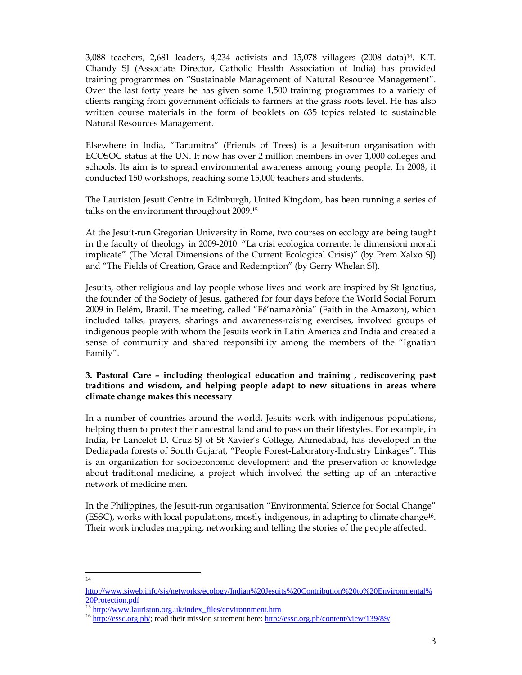3,088 teachers, 2,681 leaders, 4,234 activists and 15,078 villagers (2008 data)14. K.T. Chandy SJ (Associate Director, Catholic Health Association of India) has provided training programmes on "Sustainable Management of Natural Resource Management". Over the last forty years he has given some 1,500 training programmes to a variety of clients ranging from government officials to farmers at the grass roots level. He has also written course materials in the form of booklets on 635 topics related to sustainable Natural Resources Management.

Elsewhere in India, "Tarumitra" (Friends of Trees) is a Jesuit-run organisation with ECOSOC status at the UN. It now has over 2 million members in over 1,000 colleges and schools. Its aim is to spread environmental awareness among young people. In 2008, it conducted 150 workshops, reaching some 15,000 teachers and students.

The Lauriston Jesuit Centre in Edinburgh, United Kingdom, has been running a series of talks on the environment throughout 2009.15

At the Jesuit-run Gregorian University in Rome, two courses on ecology are being taught in the faculty of theology in 2009-2010: "La crisi ecologica corrente: le dimensioni morali implicate" (The Moral Dimensions of the Current Ecological Crisis)" (by Prem Xalxo SJ) and "The Fields of Creation, Grace and Redemption" (by Gerry Whelan SJ).

Jesuits, other religious and lay people whose lives and work are inspired by St Ignatius, the founder of the Society of Jesus, gathered for four days before the World Social Forum 2009 in Belém, Brazil. The meeting, called "Fé'namazônia" (Faith in the Amazon), which included talks, prayers, sharings and awareness-raising exercises, involved groups of indigenous people with whom the Jesuits work in Latin America and India and created a sense of community and shared responsibility among the members of the "Ignatian Family".

## **3. Pastoral Care – including theological education and training , rediscovering past traditions and wisdom, and helping people adapt to new situations in areas where climate change makes this necessary**

In a number of countries around the world, Jesuits work with indigenous populations, helping them to protect their ancestral land and to pass on their lifestyles. For example, in India, Fr Lancelot D. Cruz SJ of St Xavier's College, Ahmedabad, has developed in the Dediapada forests of South Gujarat, "People Forest-Laboratory-Industry Linkages". This is an organization for socioeconomic development and the preservation of knowledge about traditional medicine, a project which involved the setting up of an interactive network of medicine men.

In the Philippines, the Jesuit-run organisation "Environmental Science for Social Change" (ESSC), works with local populations, mostly indigenous, in adapting to climate change16. Their work includes mapping, networking and telling the stories of the people affected.

14

http://www.sjweb.info/sjs/networks/ecology/Indian%20Jesuits%20Contribution%20to%20Environmental% 20Protection.pdf

<sup>&</sup>lt;sup>15</sup> http://www.lauriston.org.uk/index\_files/environnment.htm<br><sup>16</sup> http://essc.org.ph/; read their mission statement here: <u>http://essc.org.ph/content/view/139/89/</u>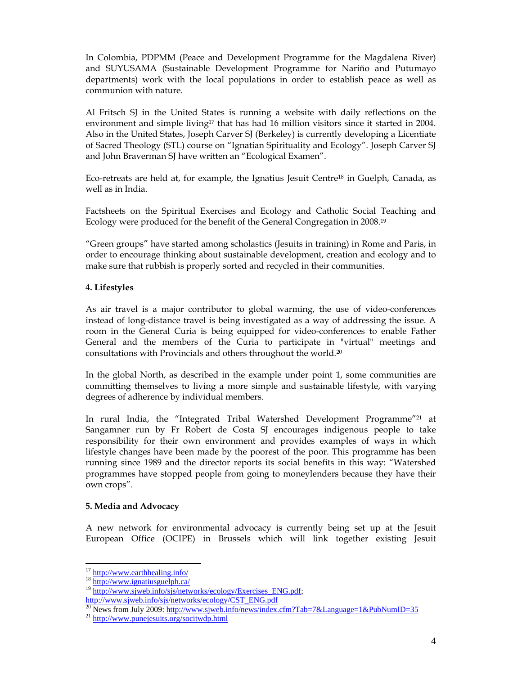In Colombia, PDPMM (Peace and Development Programme for the Magdalena River) and SUYUSAMA (Sustainable Development Programme for Nariño and Putumayo departments) work with the local populations in order to establish peace as well as communion with nature.

Al Fritsch SJ in the United States is running a website with daily reflections on the environment and simple living<sup>17</sup> that has had 16 million visitors since it started in 2004. Also in the United States, Joseph Carver SJ (Berkeley) is currently developing a Licentiate of Sacred Theology (STL) course on "Ignatian Spirituality and Ecology". Joseph Carver SJ and John Braverman SJ have written an "Ecological Examen".

Eco-retreats are held at, for example, the Ignatius Jesuit Centre18 in Guelph, Canada, as well as in India.

Factsheets on the Spiritual Exercises and Ecology and Catholic Social Teaching and Ecology were produced for the benefit of the General Congregation in 2008.19

"Green groups" have started among scholastics (Jesuits in training) in Rome and Paris, in order to encourage thinking about sustainable development, creation and ecology and to make sure that rubbish is properly sorted and recycled in their communities.

## **4. Lifestyles**

As air travel is a major contributor to global warming, the use of video-conferences instead of long-distance travel is being investigated as a way of addressing the issue. A room in the General Curia is being equipped for video-conferences to enable Father General and the members of the Curia to participate in "virtual" meetings and consultations with Provincials and others throughout the world.20

In the global North, as described in the example under point 1, some communities are committing themselves to living a more simple and sustainable lifestyle, with varying degrees of adherence by individual members.

In rural India, the "Integrated Tribal Watershed Development Programme"<sup>21</sup> at Sangamner run by Fr Robert de Costa SJ encourages indigenous people to take responsibility for their own environment and provides examples of ways in which lifestyle changes have been made by the poorest of the poor. This programme has been running since 1989 and the director reports its social benefits in this way: "Watershed programmes have stopped people from going to moneylenders because they have their own crops".

## **5. Media and Advocacy**

A new network for environmental advocacy is currently being set up at the Jesuit European Office (OCIPE) in Brussels which will link together existing Jesuit

<sup>&</sup>lt;sup>17</sup> http://www.earthhealing.info/

<sup>&</sup>lt;sup>18</sup> http://www.ignatiusguelph.ca/<br><sup>19</sup> http://www.sjweb.info/sjs/networks/ecology/Exercises\_ENG.pdf;

http://www.sjweb.info/sjs/networks/ecology/CST\_ENG.pdf

<sup>&</sup>lt;sup>20</sup> News from July 2009: http://www.sjweb.info/news/index.cfm?Tab=7&Language=1&PubNumID=35<sup>21</sup> http://www.punejesuits.org/socitwdp.html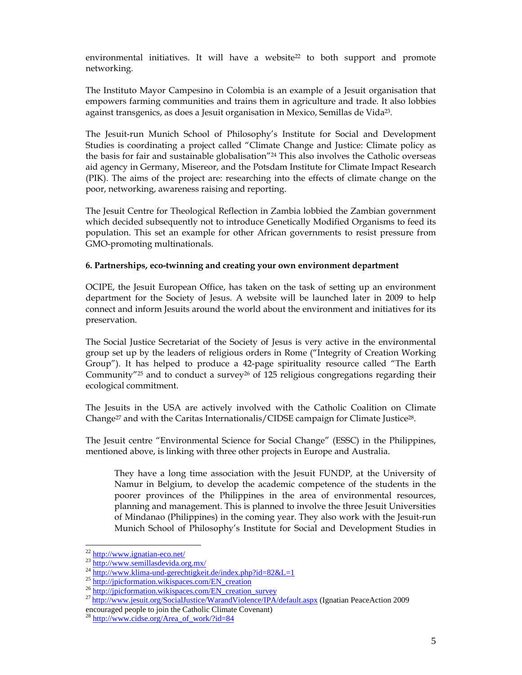environmental initiatives. It will have a website<sup>22</sup> to both support and promote networking.

The Instituto Mayor Campesino in Colombia is an example of a Jesuit organisation that empowers farming communities and trains them in agriculture and trade. It also lobbies against transgenics, as does a Jesuit organisation in Mexico, Semillas de Vida23.

The Jesuit-run Munich School of Philosophy's Institute for Social and Development Studies is coordinating a project called "Climate Change and Justice: Climate policy as the basis for fair and sustainable globalisation"24 This also involves the Catholic overseas aid agency in Germany, Misereor, and the Potsdam Institute for Climate Impact Research (PIK). The aims of the project are: researching into the effects of climate change on the poor, networking, awareness raising and reporting.

The Jesuit Centre for Theological Reflection in Zambia lobbied the Zambian government which decided subsequently not to introduce Genetically Modified Organisms to feed its population. This set an example for other African governments to resist pressure from GMO-promoting multinationals.

## **6. Partnerships, eco-twinning and creating your own environment department**

OCIPE, the Jesuit European Office, has taken on the task of setting up an environment department for the Society of Jesus. A website will be launched later in 2009 to help connect and inform Jesuits around the world about the environment and initiatives for its preservation.

The Social Justice Secretariat of the Society of Jesus is very active in the environmental group set up by the leaders of religious orders in Rome ("Integrity of Creation Working Group"). It has helped to produce a 42-page spirituality resource called "The Earth Community" $25$  and to conduct a survey $26$  of 125 religious congregations regarding their ecological commitment.

The Jesuits in the USA are actively involved with the Catholic Coalition on Climate Change<sup>27</sup> and with the Caritas Internationalis/CIDSE campaign for Climate Justice<sup>28</sup>.

The Jesuit centre "Environmental Science for Social Change" (ESSC) in the Philippines, mentioned above, is linking with three other projects in Europe and Australia.

They have a long time association with the Jesuit FUNDP, at the University of Namur in Belgium, to develop the academic competence of the students in the poorer provinces of the Philippines in the area of environmental resources, planning and management. This is planned to involve the three Jesuit Universities of Mindanao (Philippines) in the coming year. They also work with the Jesuit-run Munich School of Philosophy's Institute for Social and Development Studies in

<sup>&</sup>lt;sup>22</sup> http://www.ignatian-eco.net/

<sup>23&</sup>lt;br>http://www.semillasdevida.org.mx/<br>24<br>http://www.klima-und-gerechtigkeit.de/index.php?id=82&L=1<br>25<br>http://jpicformation.wikispaces.com/EN\_creation<br>26<br>http://jpicformation.wikispaces.com/EN\_creation\_survey<br>27<br>http://www.j

encouraged people to join the Catholic Climate Covenant)

http://www.cidse.org/Area\_of\_work/?id=84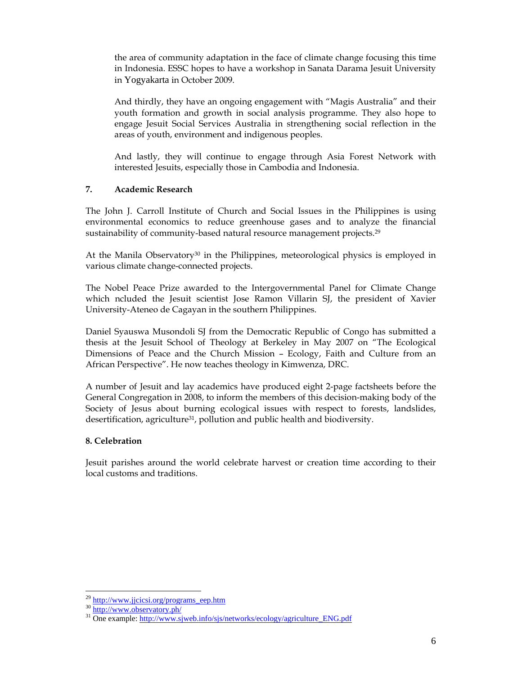the area of community adaptation in the face of climate change focusing this time in Indonesia. ESSC hopes to have a workshop in Sanata Darama Jesuit University in Yogyakarta in October 2009.

And thirdly, they have an ongoing engagement with "Magis Australia" and their youth formation and growth in social analysis programme. They also hope to engage Jesuit Social Services Australia in strengthening social reflection in the areas of youth, environment and indigenous peoples.

And lastly, they will continue to engage through Asia Forest Network with interested Jesuits, especially those in Cambodia and Indonesia.

## **7. Academic Research**

The John J. Carroll Institute of Church and Social Issues in the Philippines is using environmental economics to reduce greenhouse gases and to analyze the financial sustainability of community-based natural resource management projects.<sup>29</sup>

At the Manila Observatory $30$  in the Philippines, meteorological physics is employed in various climate change-connected projects.

The Nobel Peace Prize awarded to the Intergovernmental Panel for Climate Change which ncluded the Jesuit scientist Jose Ramon Villarin SJ, the president of Xavier University-Ateneo de Cagayan in the southern Philippines.

Daniel Syauswa Musondoli SJ from the Democratic Republic of Congo has submitted a thesis at the Jesuit School of Theology at Berkeley in May 2007 on "The Ecological Dimensions of Peace and the Church Mission – Ecology, Faith and Culture from an African Perspective". He now teaches theology in Kimwenza, DRC.

A number of Jesuit and lay academics have produced eight 2-page factsheets before the General Congregation in 2008, to inform the members of this decision-making body of the Society of Jesus about burning ecological issues with respect to forests, landslides, desertification, agriculture31, pollution and public health and biodiversity.

# **8. Celebration**

Jesuit parishes around the world celebrate harvest or creation time according to their local customs and traditions.

<sup>&</sup>lt;sup>29</sup> http://www.jjcicsi.org/programs\_eep.htm

 $\frac{30 \text{ http://www.observatory.php/}}{21 \text{ One example: } \frac{http://www.observatory.php/}}{10 \text{ one example: } \frac{http://www.sjweb.info/sjs/networks/ecology/agriculture-ENG.pdf}$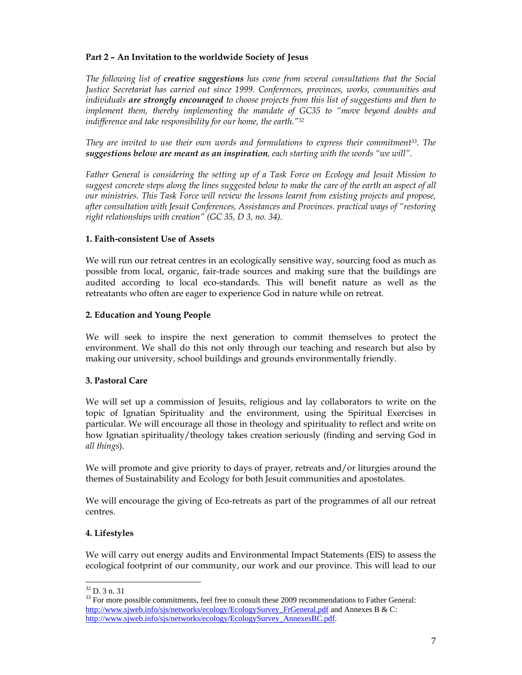## **Part 2 – An Invitation to the worldwide Society of Jesus**

*The following list of creative suggestions has come from several consultations that the Social Justice Secretariat has carried out since 1999. Conferences, provinces, works, communities and individuals are strongly encouraged to choose projects from this list of suggestions and then to implement them, thereby implementing the mandate of GC35 to "move beyond doubts and indifference and take responsibility for our home, the earth."32*

*They are invited to use their own words and formulations to express their commitment33. The suggestions below are meant as an inspiration, each starting with the words "we will".* 

*Father General is considering the setting up of a Task Force on Ecology and Jesuit Mission to suggest concrete steps along the lines suggested below to make the care of the earth an aspect of all our ministries. This Task Force will review the lessons learnt from existing projects and propose, after consultation with Jesuit Conferences, Assistances and Provinces. practical ways of "restoring right relationships with creation" (GC 35, D 3, no. 34).* 

### **1. Faith-consistent Use of Assets**

We will run our retreat centres in an ecologically sensitive way, sourcing food as much as possible from local, organic, fair-trade sources and making sure that the buildings are audited according to local eco-standards. This will benefit nature as well as the retreatants who often are eager to experience God in nature while on retreat.

### **2. Education and Young People**

We will seek to inspire the next generation to commit themselves to protect the environment. We shall do this not only through our teaching and research but also by making our university, school buildings and grounds environmentally friendly.

## **3. Pastoral Care**

We will set up a commission of Jesuits, religious and lay collaborators to write on the topic of Ignatian Spirituality and the environment, using the Spiritual Exercises in particular. We will encourage all those in theology and spirituality to reflect and write on how Ignatian spirituality/theology takes creation seriously (finding and serving God in *all things*).

We will promote and give priority to days of prayer, retreats and/or liturgies around the themes of Sustainability and Ecology for both Jesuit communities and apostolates.

We will encourage the giving of Eco-retreats as part of the programmes of all our retreat centres.

#### **4. Lifestyles**

We will carry out energy audits and Environmental Impact Statements (EIS) to assess the ecological footprint of our community, our work and our province. This will lead to our

l

 $32$  D. 3 n. 31

<sup>&</sup>lt;sup>33</sup> For more possible commitments, feel free to consult these 2009 recommendations to Father General: http://www.sjweb.info/sjs/networks/ecology/EcologySurvey\_FrGeneral.pdf and Annexes B & C: http://www.sjweb.info/sjs/networks/ecology/EcologySurvey\_AnnexesBC.pdf.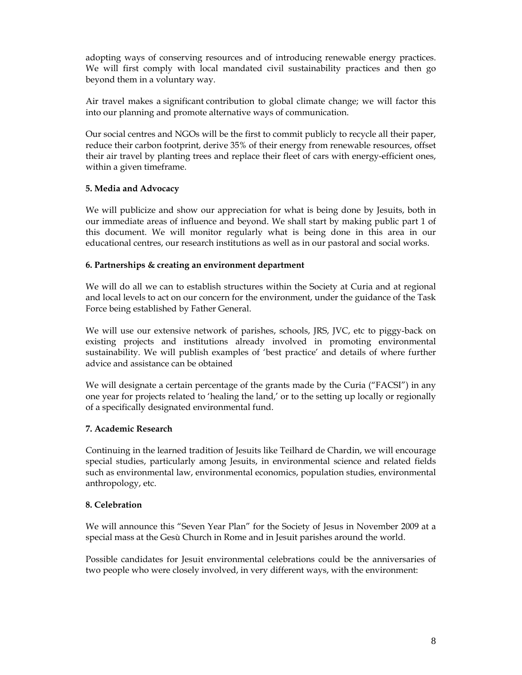adopting ways of conserving resources and of introducing renewable energy practices. We will first comply with local mandated civil sustainability practices and then go beyond them in a voluntary way.

Air travel makes a significant contribution to global climate change; we will factor this into our planning and promote alternative ways of communication.

Our social centres and NGOs will be the first to commit publicly to recycle all their paper, reduce their carbon footprint, derive 35% of their energy from renewable resources, offset their air travel by planting trees and replace their fleet of cars with energy-efficient ones, within a given timeframe.

## **5. Media and Advocacy**

We will publicize and show our appreciation for what is being done by Jesuits, both in our immediate areas of influence and beyond. We shall start by making public part 1 of this document. We will monitor regularly what is being done in this area in our educational centres, our research institutions as well as in our pastoral and social works.

## **6. Partnerships & creating an environment department**

We will do all we can to establish structures within the Society at Curia and at regional and local levels to act on our concern for the environment, under the guidance of the Task Force being established by Father General.

We will use our extensive network of parishes, schools, JRS, JVC, etc to piggy-back on existing projects and institutions already involved in promoting environmental sustainability. We will publish examples of 'best practice' and details of where further advice and assistance can be obtained

We will designate a certain percentage of the grants made by the Curia ("FACSI") in any one year for projects related to 'healing the land,' or to the setting up locally or regionally of a specifically designated environmental fund.

## **7. Academic Research**

Continuing in the learned tradition of Jesuits like Teilhard de Chardin, we will encourage special studies, particularly among Jesuits, in environmental science and related fields such as environmental law, environmental economics, population studies, environmental anthropology, etc.

## **8. Celebration**

We will announce this "Seven Year Plan" for the Society of Jesus in November 2009 at a special mass at the Gesù Church in Rome and in Jesuit parishes around the world.

Possible candidates for Jesuit environmental celebrations could be the anniversaries of two people who were closely involved, in very different ways, with the environment: